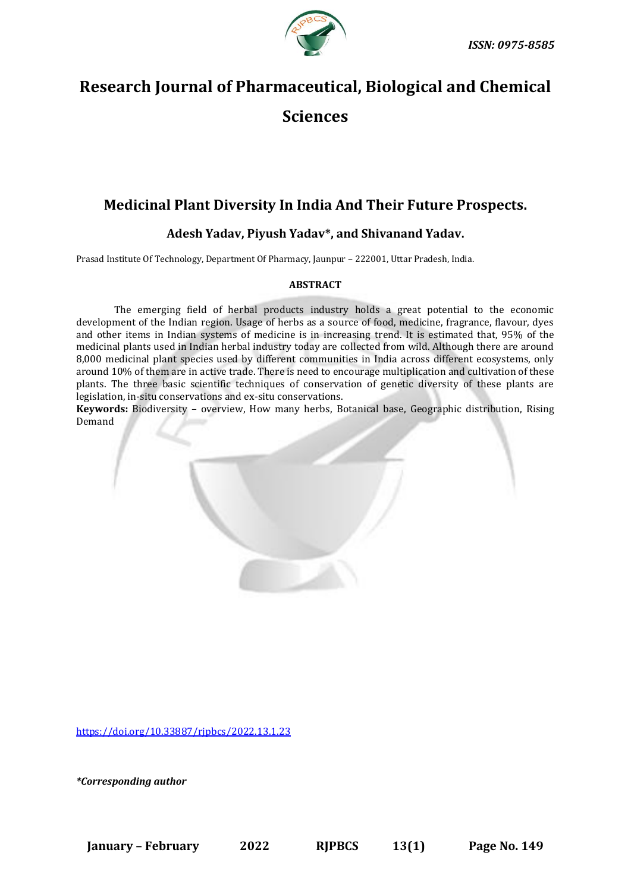

# **Research Journal of Pharmaceutical, Biological and Chemical Sciences**

## **Medicinal Plant Diversity In India And Their Future Prospects.**

### **Adesh Yadav, Piyush Yadav\*, and Shivanand Yadav.**

Prasad Institute Of Technology, Department Of Pharmacy, Jaunpur – 222001, Uttar Pradesh, India.

#### **ABSTRACT**

The emerging field of herbal products industry holds a great potential to the economic development of the Indian region. Usage of herbs as a source of food, medicine, fragrance, flavour, dyes and other items in Indian systems of medicine is in increasing trend. It is estimated that, 95% of the medicinal plants used in Indian herbal industry today are collected from wild. Although there are around 8,000 medicinal plant species used by different communities in India across different ecosystems, only around 10% of them are in active trade. There is need to encourage multiplication and cultivation of these plants. The three basic scientific techniques of conservation of genetic diversity of these plants are legislation, in-situ conservations and ex-situ conservations.

**Keywords:** Biodiversity – overview, How many herbs, Botanical base, Geographic distribution, Rising Demand

[https://doi.org/10.33887/rjpbcs/2022.13.1.23](https://doi.org/10.33887/rjpbcs/2022.13.1.1)

*\*Corresponding author*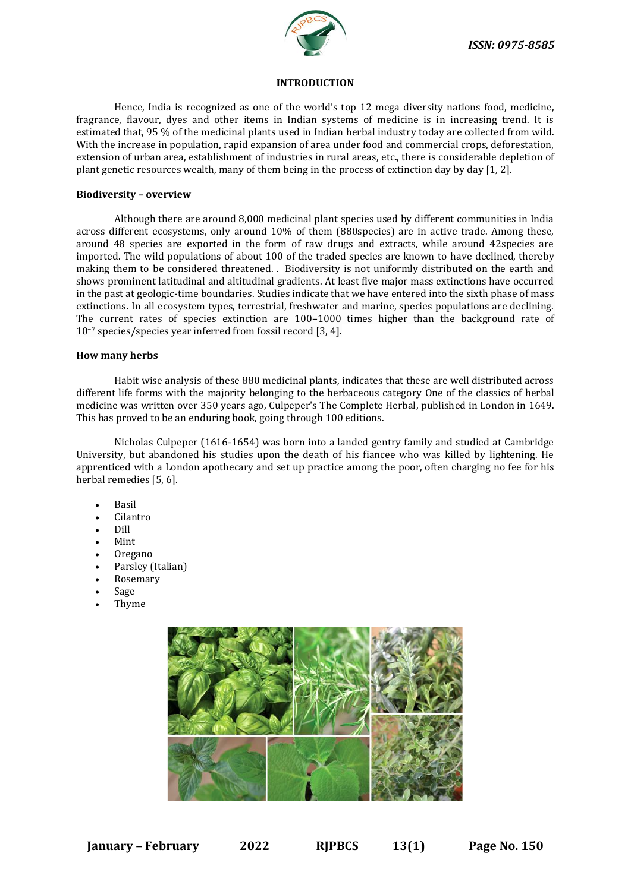

#### **INTRODUCTION**

Hence, India is recognized as one of the world's top 12 mega diversity nations food, medicine, fragrance, flavour, dyes and other items in Indian systems of medicine is in increasing trend. It is estimated that, 95 % of the medicinal plants used in Indian herbal industry today are collected from wild. With the increase in population, rapid expansion of area under food and commercial crops, deforestation, extension of urban area, establishment of industries in rural areas, etc., there is considerable depletion of plant genetic resources wealth, many of them being in the process of extinction day by day [1, 2].

#### **Biodiversity – overview**

Although there are around 8,000 medicinal plant species used by different communities in India across different ecosystems, only around 10% of them (880species) are in active trade. Among these, around 48 species are exported in the form of raw drugs and extracts, while around 42species are imported. The wild populations of about 100 of the traded species are known to have declined, thereby making them to be considered threatened. . Biodiversity is not uniformly distributed on the earth and shows prominent latitudinal and altitudinal gradients. At least five major mass extinctions have occurred in the past at geologic-time boundaries. Studies indicate that we have entered into the sixth phase of mass extinctions**.** In all ecosystem types, terrestrial, freshwater and marine, species populations are declining. The current rates of species extinction are 100–1000 times higher than the background rate of 10−7 species/species year inferred from fossil record [3, 4].

#### **How many herbs**

Habit wise analysis of these 880 medicinal plants, indicates that these are well distributed across different life forms with the majority belonging to the herbaceous category One of the classics of herbal medicine was written over 350 years ago, Culpeper's The Complete Herbal, published in London in 1649. This has proved to be an enduring book, going through 100 editions.

Nicholas Culpeper (1616-1654) was born into a landed gentry family and studied at Cambridge University, but abandoned his studies upon the death of his fiancee who was killed by lightening. He apprenticed with a London apothecary and set up practice among the poor, often charging no fee for his herbal remedies [5, 6].

- Basil
- Cilantro
- Dill
- Mint
- Oregano
- Parsley (Italian)
- Rosemary
- Sage
- Thyme

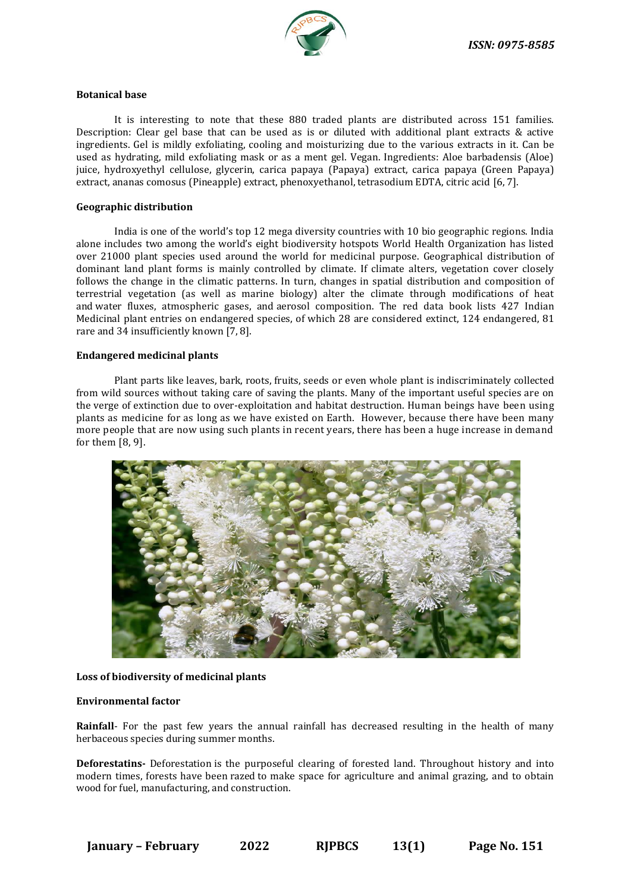

#### **Botanical base**

It is interesting to note that these 880 traded plants are distributed across 151 families. Description: Clear gel base that can be used as is or diluted with additional plant extracts & active ingredients. Gel is mildly exfoliating, cooling and moisturizing due to the various extracts in it. Can be used as hydrating, mild exfoliating mask or as a ment gel. Vegan. Ingredients: Aloe barbadensis (Aloe) juice, hydroxyethyl cellulose, glycerin, carica papaya (Papaya) extract, carica papaya (Green Papaya) extract, ananas comosus (Pineapple) extract, phenoxyethanol, tetrasodium EDTA, citric acid [6, 7].

#### **Geographic distribution**

India is one of the world's top 12 mega diversity countries with 10 bio geographic regions. India alone includes two among the world's eight biodiversity hotspots World Health Organization has listed over 21000 plant species used around the world for medicinal purpose. Geographical distribution of dominant land plant forms is mainly controlled by climate. If climate alters, vegetation cover closely follows the change in the climatic patterns. In turn, changes in spatial distribution and composition of terrestrial vegetation (as well as marine biology) alter the climate through modifications of heat and water fluxes, atmospheric gases, and aerosol composition. The red data book lists 427 Indian Medicinal plant entries on endangered species, of which 28 are considered extinct, 124 endangered, 81 rare and 34 insufficiently known [7, 8].

#### **Endangered medicinal plants**

Plant parts like leaves, bark, roots, fruits, seeds or even whole plant is indiscriminately collected from wild sources without taking care of saving the plants. Many of the important useful species are on the verge of extinction due to over-exploitation and habitat destruction. Human beings have been using plants as medicine for as long as we have existed on Earth. However, because there have been many more people that are now using such plants in recent years, there has been a huge increase in demand for them [8, 9].



#### **Loss of biodiversity of medicinal plants**

#### **Environmental factor**

**Rainfall**- For the past few years the annual rainfall has decreased resulting in the health of many herbaceous species during summer months.

**Deforestatins-** Deforestation is the purposeful clearing of forested land. Throughout history and into modern times, forests have been razed to make space for agriculture and animal grazing, and to obtain wood for fuel, manufacturing, and construction.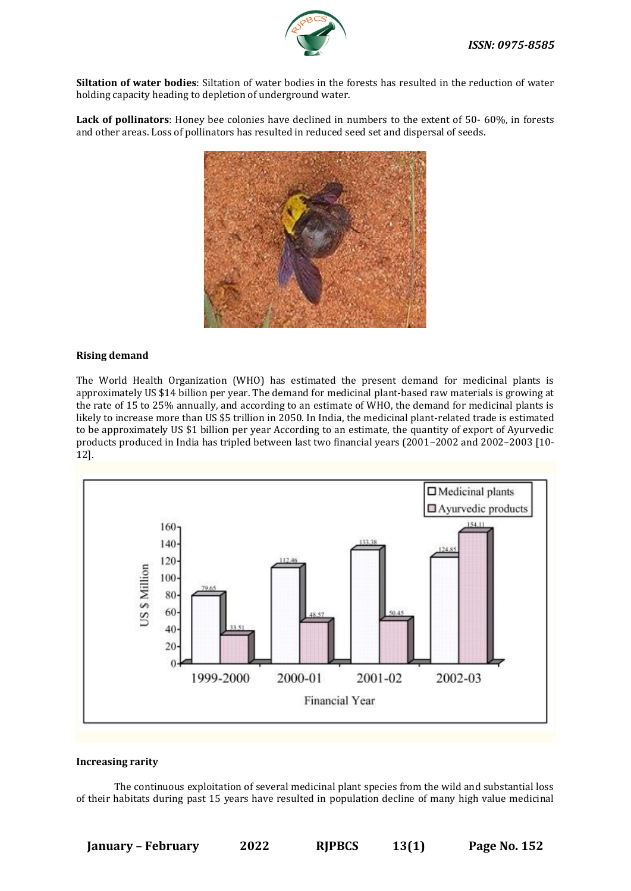

**Siltation of water bodies**: Siltation of water bodies in the forests has resulted in the reduction of water holding capacity heading to depletion of underground water.

**Lack of pollinators**: Honey bee colonies have declined in numbers to the extent of 50- 60%, in forests and other areas. Loss of pollinators has resulted in reduced seed set and dispersal of seeds.



#### **Rising demand**

The World Health Organization (WHO) has estimated the present demand for medicinal plants is approximately US \$14 billion per year. The demand for medicinal plant-based raw materials is growing at the rate of 15 to 25% annually, and according to an estimate of WHO, the demand for medicinal plants is likely to increase more than US \$5 trillion in 2050. In India, the medicinal plant-related trade is estimated to be approximately US \$1 billion per year According to an estimate, the quantity of export of Ayurvedic products produced in India has tripled between last two financial years (2001–2002 and 2002–2003 [10- 12].



#### **Increasing rarity**

The continuous exploitation of several medicinal plant species from the wild and substantial loss of their habitats during past 15 years have resulted in population decline of many high value medicinal

**January – February 2022 RJPBCS 13(1) Page No. 152**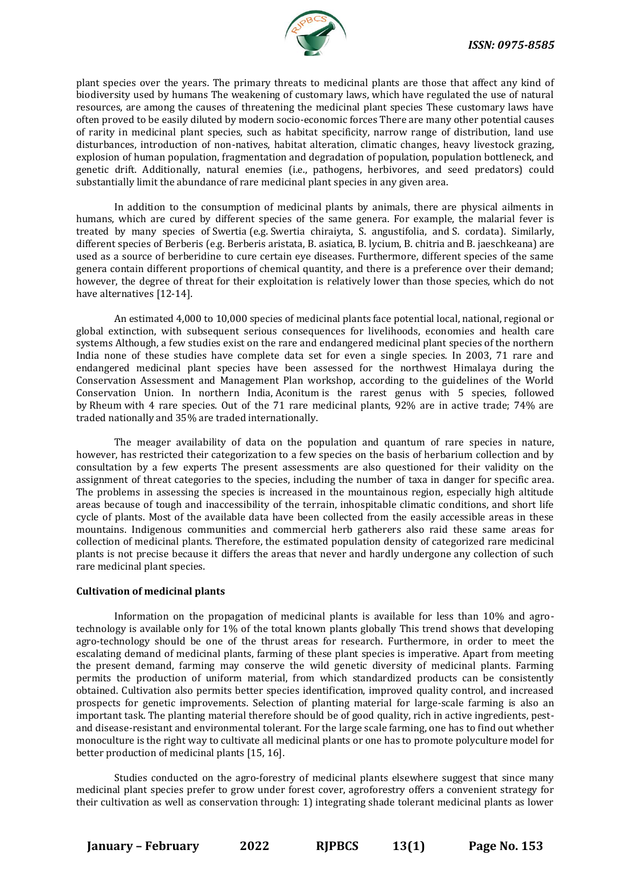

plant species over the years. The primary threats to medicinal plants are those that affect any kind of biodiversity used by humans The weakening of customary laws, which have regulated the use of natural resources, are among the causes of threatening the medicinal plant species These customary laws have often proved to be easily diluted by modern socio-economic forces There are many other potential causes of rarity in medicinal plant species, such as habitat specificity, narrow range of distribution, land use disturbances, introduction of non-natives, habitat alteration, climatic changes, heavy livestock grazing, explosion of human population, fragmentation and degradation of population, population bottleneck, and genetic drift. Additionally, natural enemies (i.e., pathogens, herbivores, and seed predators) could substantially limit the abundance of rare medicinal plant species in any given area.

In addition to the consumption of medicinal plants by animals, there are physical ailments in humans, which are cured by different species of the same genera. For example, the malarial fever is treated by many species of Swertia (e.g. Swertia chiraiyta, S. angustifolia, and S. cordata). Similarly, different species of Berberis (e.g. Berberis aristata, B. asiatica, B. lycium, B. chitria and B. jaeschkeana) are used as a source of berberidine to cure certain eye diseases. Furthermore, different species of the same genera contain different proportions of chemical quantity, and there is a preference over their demand; however, the degree of threat for their exploitation is relatively lower than those species, which do not have alternatives [12-14].

An estimated 4,000 to 10,000 species of medicinal plants face potential local, national, regional or global extinction, with subsequent serious consequences for livelihoods, economies and health care systems Although, a few studies exist on the rare and endangered medicinal plant species of the northern India none of these studies have complete data set for even a single species. In 2003, 71 rare and endangered medicinal plant species have been assessed for the northwest Himalaya during the Conservation Assessment and Management Plan workshop, according to the guidelines of the World Conservation Union. In northern India, Aconitum is the rarest genus with 5 species, followed by Rheum with 4 rare species. Out of the 71 rare medicinal plants, 92% are in active trade; 74% are traded nationally and 35% are traded internationally.

The meager availability of data on the population and quantum of rare species in nature, however, has restricted their categorization to a few species on the basis of herbarium collection and by consultation by a few experts The present assessments are also questioned for their validity on the assignment of threat categories to the species, including the number of taxa in danger for specific area. The problems in assessing the species is increased in the mountainous region, especially high altitude areas because of tough and inaccessibility of the terrain, inhospitable climatic conditions, and short life cycle of plants. Most of the available data have been collected from the easily accessible areas in these mountains. Indigenous communities and commercial herb gatherers also raid these same areas for collection of medicinal plants. Therefore, the estimated population density of categorized rare medicinal plants is not precise because it differs the areas that never and hardly undergone any collection of such rare medicinal plant species.

#### **Cultivation of medicinal plants**

Information on the propagation of medicinal plants is available for less than 10% and agrotechnology is available only for 1% of the total known plants globally This trend shows that developing agro-technology should be one of the thrust areas for research. Furthermore, in order to meet the escalating demand of medicinal plants, farming of these plant species is imperative. Apart from meeting the present demand, farming may conserve the wild genetic diversity of medicinal plants. Farming permits the production of uniform material, from which standardized products can be consistently obtained. Cultivation also permits better species identification, improved quality control, and increased prospects for genetic improvements. Selection of planting material for large-scale farming is also an important task. The planting material therefore should be of good quality, rich in active ingredients, pestand disease-resistant and environmental tolerant. For the large scale farming, one has to find out whether monoculture is the right way to cultivate all medicinal plants or one has to promote polyculture model for better production of medicinal plants [15, 16].

Studies conducted on the agro-forestry of medicinal plants elsewhere suggest that since many medicinal plant species prefer to grow under forest cover, agroforestry offers a convenient strategy for their cultivation as well as conservation through: 1) integrating shade tolerant medicinal plants as lower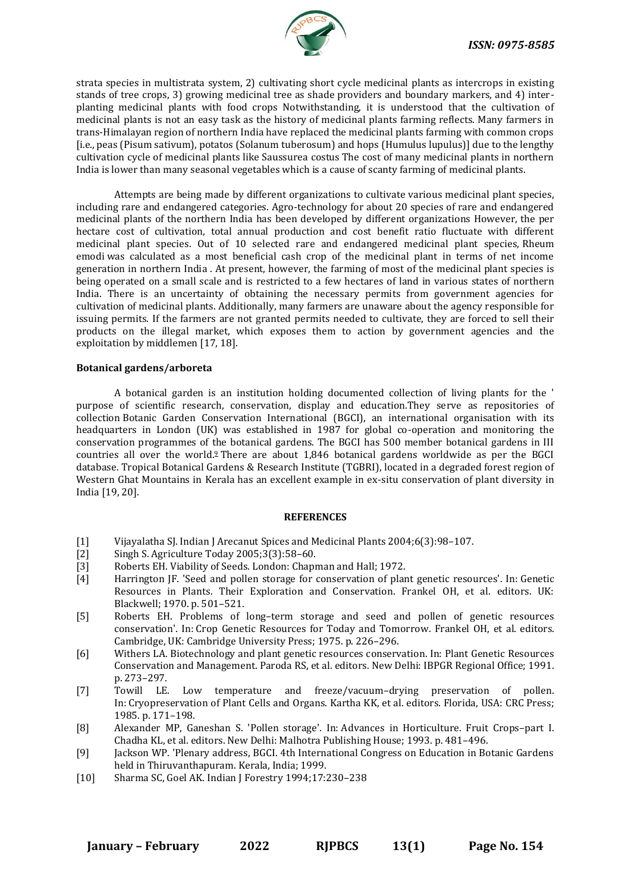

strata species in multistrata system, 2) cultivating short cycle medicinal plants as intercrops in existing stands of tree crops, 3) growing medicinal tree as shade providers and boundary markers, and 4) interplanting medicinal plants with food crops Notwithstanding, it is understood that the cultivation of medicinal plants is not an easy task as the history of medicinal plants farming reflects. Many farmers in trans-Himalayan region of northern India have replaced the medicinal plants farming with common crops [i.e., peas (Pisum sativum), potatos (Solanum tuberosum) and hops (Humulus lupulus)] due to the lengthy cultivation cycle of medicinal plants like Saussurea costus The cost of many medicinal plants in northern India is lower than many seasonal vegetables which is a cause of scanty farming of medicinal plants.

Attempts are being made by different organizations to cultivate various medicinal plant species, including rare and endangered categories. Agro-technology for about 20 species of rare and endangered medicinal plants of the northern India has been developed by different organizations However, the per hectare cost of cultivation, total annual production and cost benefit ratio fluctuate with different medicinal plant species. Out of 10 selected rare and endangered medicinal plant species, Rheum emodi was calculated as a most beneficial cash crop of the medicinal plant in terms of net income generation in northern India . At present, however, the farming of most of the medicinal plant species is being operated on a small scale and is restricted to a few hectares of land in various states of northern India. There is an uncertainty of obtaining the necessary permits from government agencies for cultivation of medicinal plants. Additionally, many farmers are unaware about the agency responsible for issuing permits. If the farmers are not granted permits needed to cultivate, they are forced to sell their products on the illegal market, which exposes them to action by government agencies and the exploitation by middlemen [17, 18].

#### **Botanical gardens/arboreta**

A botanical garden is an institution holding documented collection of living plants for the ' purpose of scientific research, conservation, display and education.They serve as repositories of collection Botanic Garden Conservation International (BGCI), an international organisation with its headquarters in London (UK) was established in 1987 for global co-operation and monitoring the conservation programmes of the botanical gardens. The BGCI has 500 member botanical gardens in III countries all over the worl[d.](https://medcraveonline.com/APAR/bio-diversity-and-conservation-of-medicinal-and-aromatic-plants.html#ref9)<sup>9</sup> There are about 1,846 botanical gardens worldwide as per the BGCI database. Tropical Botanical Gardens & Research Institute (TGBRI), located in a degraded forest region of Western Ghat Mountains in Kerala has an excellent example in ex-situ conservation of plant diversity in India [19, 20].

#### **REFERENCES**

- [1] Vijayalatha SJ. Indian J Arecanut Spices and Medicinal Plants 2004;6(3):98–107.
- [2] Singh S. Agriculture Today 2005;3(3):58–60.
- [3] Roberts EH. [Viability of Seeds. London: Chapman and Hall; 1972.](https://www.jstor.org/stable/4115450?seq=1#page_scan_tab_contents)
- [4] Harrington JF. 'Seed and pollen storage for conservation of plant genetic resources'. In: Genetic Resources in Plants. Their Exploration and Conservation. Frankel OH, et al. editors. UK: Blackwell; 1970. p. 501–521.
- [5] Roberts EH. Problems of long–term storage and seed and pollen of genetic resources conservation'. In: Crop Genetic Resources for Today and Tomorrow. Frankel OH, et al. editors. Cambridge, UK: Cambridge University Press; 1975. p. 226–296.
- [6] Withers LA. Biotechnology and plant genetic resources conservation. In: Plant Genetic Resources Conservation and Management. Paroda RS, et al. editors. New Delhi: IBPGR Regional Office; 1991. p. 273–297.
- [7] Towill LE. Low temperature and freeze/vacuum–drying preservation of pollen. In: Cryopreservation of Plant Cells and Organs. Kartha KK, et al. editors. Florida, USA: CRC Press; 1985. p. 171–198.
- [8] Alexander MP, Ganeshan S. 'Pollen storage'. In: Advances in Horticulture. Fruit Crops–part I. Chadha KL, et al. editors. New Delhi: Malhotra Publishing House; 1993. p. 481–496.
- [9] Jackson WP. 'Plenary address, BGCI. 4th International Congress on Education in Botanic Gardens held in Thiruvanthapuram. Kerala, India; 1999.
- [10] Sharma SC, Goel AK. Indian J Forestry 1994;17:230–238